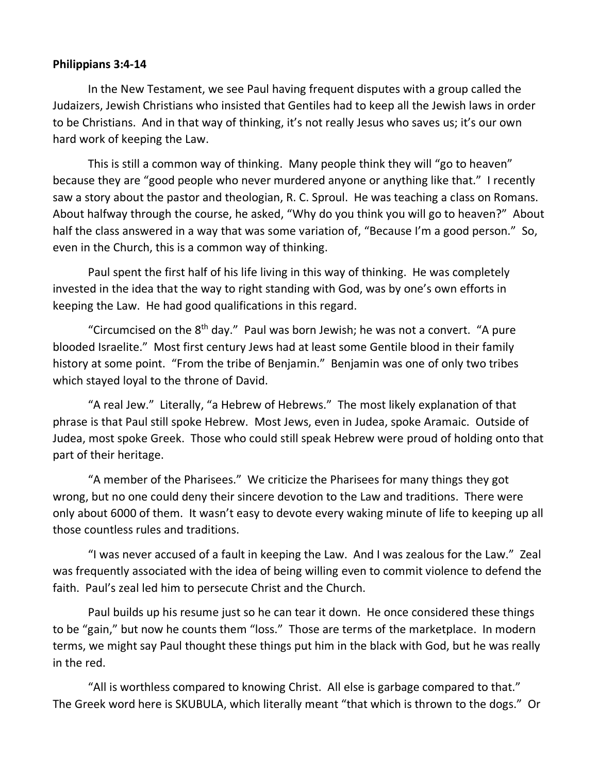## **Philippians 3:4-14**

In the New Testament, we see Paul having frequent disputes with a group called the Judaizers, Jewish Christians who insisted that Gentiles had to keep all the Jewish laws in order to be Christians. And in that way of thinking, it's not really Jesus who saves us; it's our own hard work of keeping the Law.

This is still a common way of thinking. Many people think they will "go to heaven" because they are "good people who never murdered anyone or anything like that." I recently saw a story about the pastor and theologian, R. C. Sproul. He was teaching a class on Romans. About halfway through the course, he asked, "Why do you think you will go to heaven?" About half the class answered in a way that was some variation of, "Because I'm a good person." So, even in the Church, this is a common way of thinking.

Paul spent the first half of his life living in this way of thinking. He was completely invested in the idea that the way to right standing with God, was by one's own efforts in keeping the Law. He had good qualifications in this regard.

"Circumcised on the  $8<sup>th</sup>$  day." Paul was born Jewish; he was not a convert. "A pure blooded Israelite." Most first century Jews had at least some Gentile blood in their family history at some point. "From the tribe of Benjamin." Benjamin was one of only two tribes which stayed loyal to the throne of David.

"A real Jew." Literally, "a Hebrew of Hebrews." The most likely explanation of that phrase is that Paul still spoke Hebrew. Most Jews, even in Judea, spoke Aramaic. Outside of Judea, most spoke Greek. Those who could still speak Hebrew were proud of holding onto that part of their heritage.

"A member of the Pharisees." We criticize the Pharisees for many things they got wrong, but no one could deny their sincere devotion to the Law and traditions. There were only about 6000 of them. It wasn't easy to devote every waking minute of life to keeping up all those countless rules and traditions.

"I was never accused of a fault in keeping the Law. And I was zealous for the Law." Zeal was frequently associated with the idea of being willing even to commit violence to defend the faith. Paul's zeal led him to persecute Christ and the Church.

Paul builds up his resume just so he can tear it down. He once considered these things to be "gain," but now he counts them "loss." Those are terms of the marketplace. In modern terms, we might say Paul thought these things put him in the black with God, but he was really in the red.

"All is worthless compared to knowing Christ. All else is garbage compared to that." The Greek word here is SKUBULA, which literally meant "that which is thrown to the dogs." Or